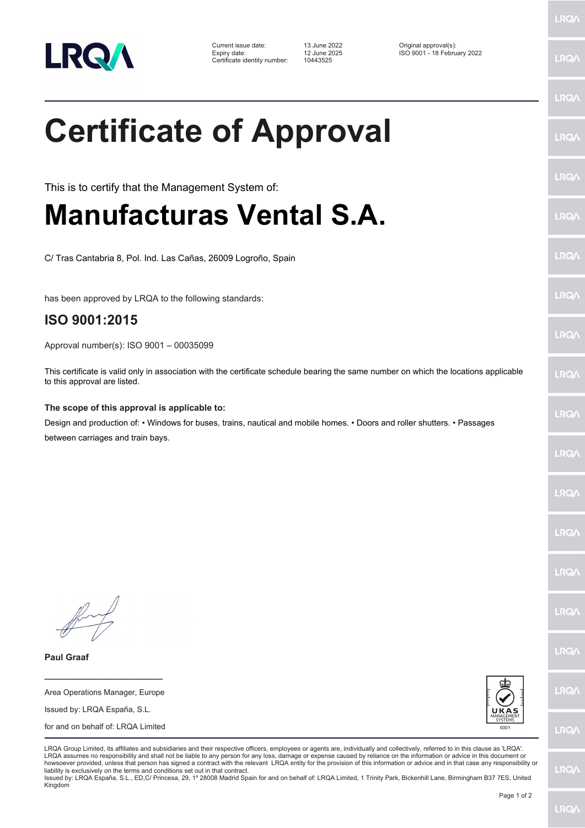

| Current issue date:          |
|------------------------------|
| Expiry date:                 |
| Certificate identity number: |

Certificate identity number: 10443525

Current issue date: 13 June 2022 Original approval(s): Expiry date: 12 June 2025 ISO 9001 - 18 February 2022

## **Certificate of Approval**

This is to certify that the Management System of:

## **Manufacturas Vental S.A.**

C/ Tras Cantabria 8, Pol. Ind. Las Cañas, 26009 Logroño, Spain

has been approved by LRQA to the following standards:

## **ISO 9001:2015**

Approval number(s): ISO 9001 – 00035099

This certificate is valid only in association with the certificate schedule bearing the same number on which the locations applicable to this approval are listed.

**The scope of this approval is applicable to:**

Design and production of: • Windows for buses, trains, nautical and mobile homes. • Doors and roller shutters. • Passages between carriages and train bays.

**Paul Graaf**

Area Operations Manager, Europe Issued by: LRQA España, S.L. for and on behalf of: LRQA Limited

**\_\_\_\_\_\_\_\_\_\_\_\_\_\_\_\_\_\_\_\_\_\_\_\_**



LRQA Group Limited, its affiliates and subsidiaries and their respective officers, employees or agents are, individually and collectively, referred to in this clause as 'LRQA'. LRQA assumes no responsibility and shall not be liable to any person for any loss, damage or expense caused by reliance on the information or advice in this document or howsoever provided, unless that person has signed a contract with the relevant LRQA entity for the provision of this information or advice and in that case any responsibility or liability is exclusively on the terms and conditions set out in that contract.

Issued by: LRQA España, S.L., ED,C/ Princesa, 29, 1º 28008 Madrid Spain for and on behalf of: LRQA Limited, 1 Trinity Park, Bickenhill Lane, Birmingham B37 7ES, United Kingdom

LRQ/

LRQ/

LRQ/

LRQ/

LRQ/

LRQ/

LRQ/

**LRQA** 

**LRO** 

LRQ/

LRQ/

LRQ/

LRQ/

LRQ/

**IRQA** 

LRQ/

LRQ/

**LRQ/** 

LRQ/